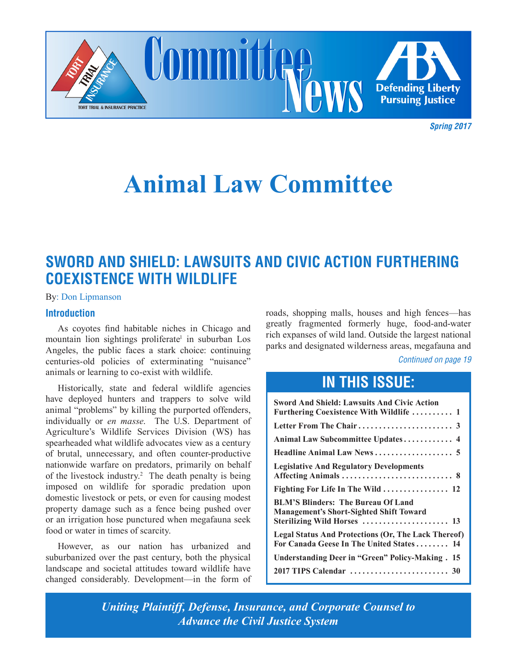

*Spring 2017*

# **Animal Law Committee**

### **SWORD AND SHIELD: LAWSUITS AND CIVIC ACTION FURTHERING COEXISTENCE WITH WILDLIFE**

By: Don Lipmanson

#### **Introduction**

As coyotes find habitable niches in Chicago and mountain lion sightings proliferate<sup>l</sup> in suburban Los Angeles, the public faces a stark choice: continuing centuries-old policies of exterminating "nuisance" animals or learning to co-exist with wildlife.

Historically, state and federal wildlife agencies have deployed hunters and trappers to solve wild animal "problems" by killing the purported offenders, individually or *en masse*. The U.S. Department of Agriculture's Wildlife Services Division (WS) has spearheaded what wildlife advocates view as a century of brutal, unnecessary, and often counter-productive nationwide warfare on predators, primarily on behalf of the livestock industry.<sup>2</sup> The death penalty is being imposed on wildlife for sporadic predation upon domestic livestock or pets, or even for causing modest property damage such as a fence being pushed over or an irrigation hose punctured when megafauna seek food or water in times of scarcity.

However, as our nation has urbanized and suburbanized over the past century, both the physical landscape and societal attitudes toward wildlife have changed considerably. Development—in the form of roads, shopping malls, houses and high fences—has greatly fragmented formerly huge, food-and-water rich expanses of wild land. Outside the largest national parks and designated wilderness areas, megafauna and

*Continued on page 19*

### **IN THIS ISSUE:**

| <b>Sword And Shield: Lawsuits And Civic Action</b><br>Furthering Coexistence With Wildlife  1                              |
|----------------------------------------------------------------------------------------------------------------------------|
|                                                                                                                            |
|                                                                                                                            |
|                                                                                                                            |
| <b>Legislative And Regulatory Developments</b>                                                                             |
| Fighting For Life In The Wild  12                                                                                          |
| <b>BLM'S Blinders: The Bureau Of Land</b><br><b>Management's Short-Sighted Shift Toward</b><br>Sterilizing Wild Horses  13 |
| <b>Legal Status And Protections (Or, The Lack Thereof)</b><br>For Canada Geese In The United States 14                     |
| <b>Understanding Deer in "Green" Policy-Making. 15</b>                                                                     |
|                                                                                                                            |

*Uniting Plaintiff, Defense, Insurance, and Corporate Counsel to Advance the Civil Justice System*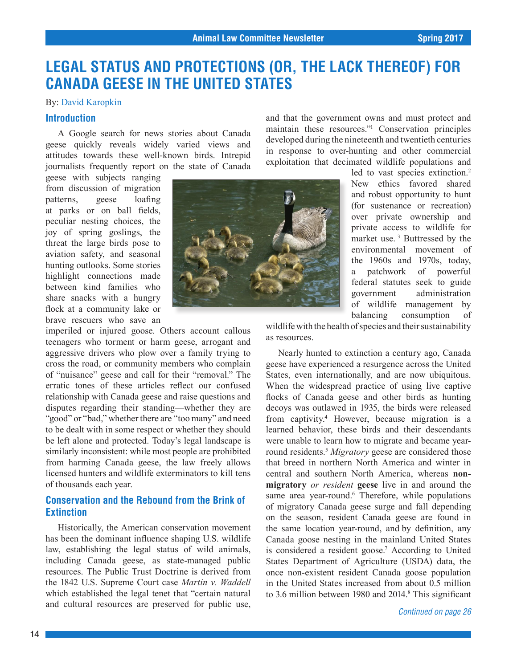### <span id="page-1-0"></span>**LEGAL STATUS AND PROTECTIONS (OR, THE LACK THEREOF) FOR CANADA GEESE IN THE UNITED STATES**

#### By: David Karopkin

#### **Introduction**

A Google search for news stories about Canada geese quickly reveals widely varied views and attitudes towards these well-known birds. Intrepid journalists frequently report on the state of Canada

geese with subjects ranging from discussion of migration patterns, geese loafing at parks or on ball fields, peculiar nesting choices, the joy of spring goslings, the threat the large birds pose to aviation safety, and seasonal hunting outlooks. Some stories highlight connections made between kind families who share snacks with a hungry flock at a community lake or brave rescuers who save an

imperiled or injured goose. Others account callous teenagers who torment or harm geese, arrogant and aggressive drivers who plow over a family trying to cross the road, or community members who complain of "nuisance" geese and call for their "removal." The erratic tones of these articles reflect our confused relationship with Canada geese and raise questions and disputes regarding their standing—whether they are "good" or "bad," whether there are "too many" and need to be dealt with in some respect or whether they should be left alone and protected. Today's legal landscape is similarly inconsistent: while most people are prohibited from harming Canada geese, the law freely allows licensed hunters and wildlife exterminators to kill tens of thousands each year.

#### **Conservation and the Rebound from the Brink of Extinction**

Historically, the American conservation movement has been the dominant influence shaping U.S. wildlife law, establishing the legal status of wild animals, including Canada geese, as state-managed public resources. The Public Trust Doctrine is derived from the 1842 U.S. Supreme Court case *Martin v. Waddell*  which established the legal tenet that "certain natural and cultural resources are preserved for public use,



and that the government owns and must protect and maintain these resources."<sup>1</sup> Conservation principles developed during the nineteenth and twentieth centuries in response to over-hunting and other commercial exploitation that decimated wildlife populations and

led to vast species extinction.<sup>2</sup> New ethics favored shared and robust opportunity to hunt (for sustenance or recreation) over private ownership and private access to wildlife for market use. 3 Buttressed by the environmental movement of the 1960s and 1970s, today, a patchwork of powerful federal statutes seek to guide government administration of wildlife management by balancing consumption of

wildlife with the health of species and their sustainability as resources.

Nearly hunted to extinction a century ago, Canada geese have experienced a resurgence across the United States, even internationally, and are now ubiquitous. When the widespread practice of using live captive flocks of Canada geese and other birds as hunting decoys was outlawed in 1935, the birds were released from captivity.<sup>4</sup> However, because migration is a learned behavior, these birds and their descendants were unable to learn how to migrate and became yearround residents.5 *Migratory* geese are considered those that breed in northern North America and winter in central and southern North America, whereas **nonmigratory** *or resident* **geese** live in and around the same area year-round.<sup>6</sup> Therefore, while populations of migratory Canada geese surge and fall depending on the season, resident Canada geese are found in the same location year-round, and by definition, any Canada goose nesting in the mainland United States is considered a resident goose.<sup>7</sup> According to United States Department of Agriculture (USDA) data, the once non-existent resident Canada goose population in the United States increased from about 0.5 million to 3.6 million between 1980 and 2014.<sup>8</sup> This significant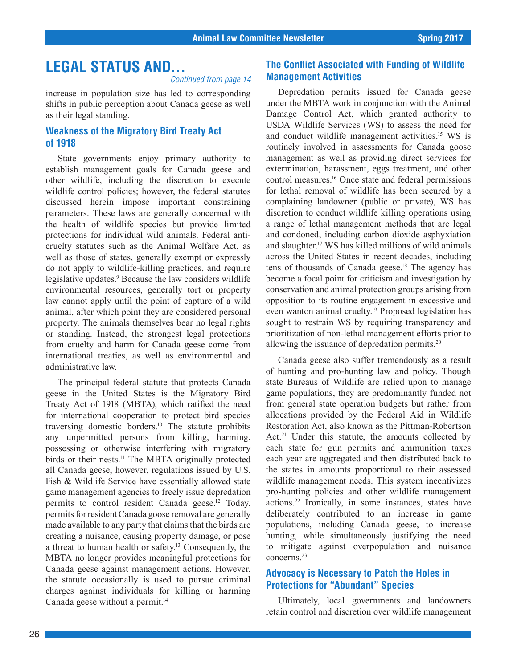### **LEGAL STATUS AND...**

*Continued from page 14*

increase in population size has led to corresponding shifts in public perception about Canada geese as well as their legal standing.

#### **Weakness of the Migratory Bird Treaty Act of 1918**

State governments enjoy primary authority to establish management goals for Canada geese and other wildlife, including the discretion to execute wildlife control policies; however, the federal statutes discussed herein impose important constraining parameters. These laws are generally concerned with the health of wildlife species but provide limited protections for individual wild animals. Federal anticruelty statutes such as the Animal Welfare Act, as well as those of states, generally exempt or expressly do not apply to wildlife-killing practices, and require legislative updates.<sup>9</sup> Because the law considers wildlife environmental resources, generally tort or property law cannot apply until the point of capture of a wild animal, after which point they are considered personal property. The animals themselves bear no legal rights or standing. Instead, the strongest legal protections from cruelty and harm for Canada geese come from international treaties, as well as environmental and administrative law.

The principal federal statute that protects Canada geese in the United States is the Migratory Bird Treaty Act of 1918 (MBTA), which ratified the need for international cooperation to protect bird species traversing domestic borders.10 The statute prohibits any unpermitted persons from killing, harming, possessing or otherwise interfering with migratory birds or their nests.<sup>11</sup> The MBTA originally protected all Canada geese, however, regulations issued by U.S. Fish & Wildlife Service have essentially allowed state game management agencies to freely issue depredation permits to control resident Canada geese.<sup>12</sup> Today, permits for resident Canada goose removal are generally made available to any party that claims that the birds are creating a nuisance, causing property damage, or pose a threat to human health or safety.13 Consequently, the MBTA no longer provides meaningful protections for Canada geese against management actions. However, the statute occasionally is used to pursue criminal charges against individuals for killing or harming Canada geese without a permit.14

#### **The Conflict Associated with Funding of Wildlife Management Activities**

Depredation permits issued for Canada geese under the MBTA work in conjunction with the Animal Damage Control Act, which granted authority to USDA Wildlife Services (WS) to assess the need for and conduct wildlife management activities.15 WS is routinely involved in assessments for Canada goose management as well as providing direct services for extermination, harassment, eggs treatment, and other control measures.16 Once state and federal permissions for lethal removal of wildlife has been secured by a complaining landowner (public or private), WS has discretion to conduct wildlife killing operations using a range of lethal management methods that are legal and condoned, including carbon dioxide asphyxiation and slaughter.17 WS has killed millions of wild animals across the United States in recent decades, including tens of thousands of Canada geese.<sup>18</sup> The agency has become a focal point for criticism and investigation by conservation and animal protection groups arising from opposition to its routine engagement in excessive and even wanton animal cruelty.<sup>19</sup> Proposed legislation has sought to restrain WS by requiring transparency and prioritization of non-lethal management efforts prior to allowing the issuance of depredation permits.20

Canada geese also suffer tremendously as a result of hunting and pro-hunting law and policy. Though state Bureaus of Wildlife are relied upon to manage game populations, they are predominantly funded not from general state operation budgets but rather from allocations provided by the Federal Aid in Wildlife Restoration Act, also known as the Pittman-Robertson Act.<sup>21</sup> Under this statute, the amounts collected by each state for gun permits and ammunition taxes each year are aggregated and then distributed back to the states in amounts proportional to their assessed wildlife management needs. This system incentivizes pro-hunting policies and other wildlife management actions.<sup>22</sup> Ironically, in some instances, states have deliberately contributed to an increase in game populations, including Canada geese, to increase hunting, while simultaneously justifying the need to mitigate against overpopulation and nuisance concerns.23

#### **Advocacy is Necessary to Patch the Holes in Protections for "Abundant" Species**

Ultimately, local governments and landowners retain control and discretion over wildlife management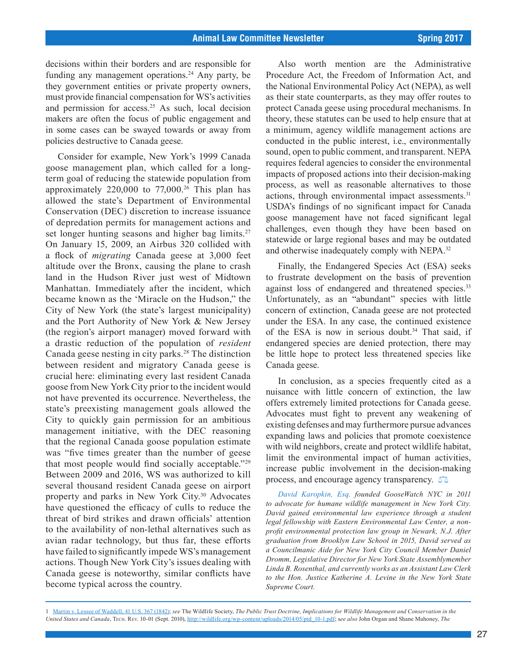decisions within their borders and are responsible for funding any management operations.<sup>24</sup> Any party, be they government entities or private property owners, must provide financial compensation for WS's activities and permission for access.<sup>25</sup> As such, local decision makers are often the focus of public engagement and in some cases can be swayed towards or away from policies destructive to Canada geese.

Consider for example, New York's 1999 Canada goose management plan, which called for a longterm goal of reducing the statewide population from approximately  $220,000$  to  $77,000$ .<sup>26</sup> This plan has allowed the state's Department of Environmental Conservation (DEC) discretion to increase issuance of depredation permits for management actions and set longer hunting seasons and higher bag limits.<sup>27</sup> On January 15, 2009, an Airbus 320 collided with a flock of *migrating* Canada geese at 3,000 feet altitude over the Bronx, causing the plane to crash land in the Hudson River just west of Midtown Manhattan. Immediately after the incident, which became known as the 'Miracle on the Hudson," the City of New York (the state's largest municipality) and the Port Authority of New York & New Jersey (the region's airport manager) moved forward with a drastic reduction of the population of *resident* Canada geese nesting in city parks.<sup>28</sup> The distinction between resident and migratory Canada geese is crucial here: eliminating every last resident Canada goose from New York City prior to the incident would not have prevented its occurrence. Nevertheless, the state's preexisting management goals allowed the City to quickly gain permission for an ambitious management initiative, with the DEC reasoning that the regional Canada goose population estimate was "five times greater than the number of geese that most people would find socially acceptable."29 Between 2009 and 2016, WS was authorized to kill several thousand resident Canada geese on airport property and parks in New York City.30 Advocates have questioned the efficacy of culls to reduce the threat of bird strikes and drawn officials' attention to the availability of non-lethal alternatives such as avian radar technology, but thus far, these efforts have failed to significantly impede WS's management actions. Though New York City's issues dealing with Canada geese is noteworthy, similar conflicts have become typical across the country.

Also worth mention are the Administrative Procedure Act, the Freedom of Information Act, and the National Environmental Policy Act (NEPA), as well as their state counterparts, as they may offer routes to protect Canada geese using procedural mechanisms. In theory, these statutes can be used to help ensure that at a minimum, agency wildlife management actions are conducted in the public interest, i.e., environmentally sound, open to public comment, and transparent. NEPA requires federal agencies to consider the environmental impacts of proposed actions into their decision-making process, as well as reasonable alternatives to those actions, through environmental impact assessments.<sup>31</sup> USDA's findings of no significant impact for Canada goose management have not faced significant legal challenges, even though they have been based on statewide or large regional bases and may be outdated and otherwise inadequately comply with NEPA.<sup>32</sup>

Finally, the Endangered Species Act (ESA) seeks to frustrate development on the basis of prevention against loss of endangered and threatened species.<sup>33</sup> Unfortunately, as an "abundant" species with little concern of extinction, Canada geese are not protected under the ESA. In any case, the continued existence of the ESA is now in serious doubt.<sup>34</sup> That said, if endangered species are denied protection, there may be little hope to protect less threatened species like Canada geese.

In conclusion, as a species frequently cited as a nuisance with little concern of extinction, the law offers extremely limited protections for Canada geese. Advocates must fight to prevent any weakening of existing defenses and may furthermore pursue advances expanding laws and policies that promote coexistence with wild neighbors, create and protect wildlife habitat, limit the environmental impact of human activities, increase public involvement in the decision-making process, and encourage agency transparency.  $\Box$ 

*David Karopkin, Esq. founded GooseWatch NYC in 2011 to advocate for humane wildlife management in New York City. David gained environmental law experience through a student legal fellowship with Eastern Environmental Law Center, a nonprofit environmental protection law group in Newark, N.J. After graduation from Brooklyn Law School in 2015, David served as a Councilmanic Aide for New York City Council Member Daniel Dromm, Legislative Director for New York State Assemblymember Linda B. Rosenthal, and currently works as an Assistant Law Clerk to the Hon. Justice Katherine A. Levine in the New York State Supreme Court.*

1 [Martin v. Lessee of Waddell, 41 U.S. 367 \(1842\);](https://www.westlaw.com/Document/Ie95f4c82b5c211d9bc61beebb95be672/View/FullText.html?transitionType=Default&contextData=(sc.Default)&VR=3.0&RS=da3.0) *see* The Wildlife Society, *The Public Trust Doctrine, Implications for Wildlife Management and Conservation in the United States and Canada*, Tech. Rev. 10-01 (Sept. 2010), http://wildlife.org/wp-content/uploads/2014/05/ptd\_10-1.pdf; s*ee also* John Organ and Shane Mahoney, *The*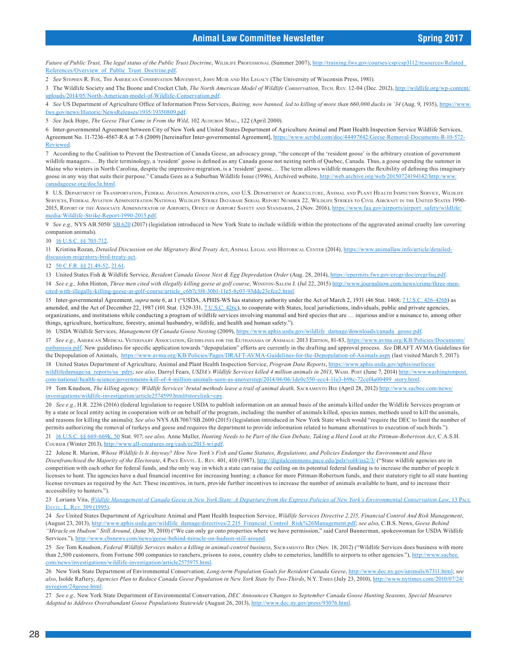Future of Public Trust, The legal status of the Public Trust Doctrine, WILDLIFE PROFESSIONAL (Summer 2007), http://training.fws.gov/courses/csp/csp3112/resources/Related References/Overview\_of\_Public\_Trust\_Doctrine.pdf.

2 *See* Stephen R. Fox, The American Conservation Movement, John Muir and His Legacy (The University of Wisconsin Press, 1981).

3 The Wildlife Society and The Boone and Crocket Club, *The North American Model of Wildlife Conservation*, Tech. Rev. 12-04 (Dec. 2012), http://wildlife.org/wp-content/ uploads/2014/05/North-American-model-of-Wildlife-Conservation.pdf.

4 *See* US Department of Agriculture Office of Information Press Services, *Baiting, now banned, led to killing of more than 660,000 ducks in '34* (Aug. 9, 1935), https://www. fws.gov/news/Historic/NewsReleases/1935/19350809.pdf.

5 See Jack Hope, *The Geese That Came in From the Wild*, 102 AUDUBON MAG., 122 (April 2000).

6 Inter-governmental Agreement between City of New York and United States Department of Agriculture Animal and Plant Health Inspection Service Wildlife Services, Agreement No. 11-7236-4567-RA at 7-8 (2009) [hereinafter Inter-governmental Agreement], https://www.scribd.com/doc/44497842/Geese-Removal-Documents-R-10-572- **Reviewed** 

7 According to the Coalition to Prevent the Destruction of Canada Geese, an advocacy group, "the concept of the 'resident goose' is the arbitrary creation of government wildlife managers.… By their terminology, a 'resident' goose is defined as any Canada goose not nesting north of Quebec, Canada. Thus, a goose spending the summer in Maine who winters in North Carolina, despite the impressive migration, is a 'resident' goose.... The term allows wildlife managers the flexibility of defining this imaginary goose in any way that suits their purpose." Canada Gees as a Suburban Wildlife Issue (1996), Archived website, http://web.archive.org/web/20150724194142/http://www. canadageese.org/doc3a.html.

8 U.S. Department of Transportation, Federal Aviation Administration, and U.S. Department of Agriculture, Animal and Plant Health Inspection Service, Wildlife Services, Federal Aviation Administration National Wildlife Strike Database Serial Report Number 22, Wildlife Strikes to Civil Aircraft in the United States 1990- 2015, REPORT OF THE ASSOCIATE ADMINISTRATOR OF AIRPORTS, OFFICE OF AIRPORT SAFETY AND STANDARDS, 2 (Nov. 2016), https://www.faa.gov/airports/airport\_safety/wildlife/ media/Wildlife-Strike-Report-1990-2015.pdf.

9 *See e.g.,* NYS AB.5050/ [SB.620](http://nyassembly.gov/leg/?term=2017&bn=S00620) (2017) (legislation introduced in New York State to include wildlife within the protections of the aggravated animal cruelty law covering companion animals).

#### 10 [16 U.S.C. §§ 703-712.](https://www.westlaw.com/Document/NAB266DB06A8411D9A3C8958EB6504127/View/FullText.html?transitionType=Default&contextData=(sc.Default)&VR=3.0&RS=da3.0)

11 Kristina Rozan, *Detailed Discussion on the Migratory Bird Treaty Act*, Animal Legal and Historical Center (2014), https://www.animallaw.info/article/detaileddiscussion-migratory-bird-treaty-act.

#### 12 [50 C.F.R. §§ 21.49-52](https://1.next.westlaw.com/Document/N1DBA66C017CC11E4B8D2847AD530F687/View/FullText.html?transitionType=Default&contextData=(sc.Default)&VR=3.0&RS=da3.0&__lrTS=20170308185402791), [21.61.](https://1.next.westlaw.com/Document/N0DAAB2B017CE11E487849CA2B1FF43FA/View/FullText.html?originationContext=documenttoc&transitionType=CategoryPageItem&contextData=(sc.Default))

13 United States Fish & Wildlife Service, *Resident Canada Goose Nest & Egg Depredation Order* (Aug. 28, 2014), https://epermits.fws.gov/ercgr/doc/ercgrfaq.pdf. 14 *See e.g.,* John Hinton, *Three men cited with illegally killing geese at golf course*, Winston-Salem J. (Jul 22, 2015) http://www.journalnow.com/news/crime/three-mencited-with-illegally-killing-geese-at-golf-course/article\_c6b7c3f4-30b1-11e5-8c03-93ddc23cfce2.html.

15 Inter-governmental Agreement, *supra* note 6, at 1 ("USDA, APHIS-WS has statutory authority under the Act of March 2, 1931 (46 Stat. 1468; [7 U.S.C. 426-426b\)](https://www.westlaw.com/Document/N6AB61450A45611D88BD68431AAB79FF6/View/FullText.html?transitionType=Default&contextData=(sc.Default)&VR=3.0&RS=da3.0) as amended, and the Act of December 22, 1987 (101 Stat. 1329-331,  $7 \text{ U.S.C. } 426c$ ), to cooperate with States, local jurisdictions, individuals, public and private agencies, organizations, and institutions while conducting a program of wildlife services involving mammal and bird species that are … injurious and/or a nuisance to, among other things, agriculture, horticulture, forestry, animal husbandry, wildlife, and health and human safety.").

16 USDA Wildlife Services, *Management Of Canada Goose Nesting* (2009), https://www.aphis.usda.gov/wildlife\_damage/downloads/canada\_goose.pdf.

17 *See e.g.*, American Medical Veterinary Association, Guidelines for the Euthanasia of Animals: 2013 Edition, 81-83, https://www.avma.org/KB/Policies/Documents/ euthanasia.pdf. New guidelines for specific application towards "depopulation" efforts are currently in the drafting and approval process. *See* DRAFT AVMA Guidelines for the Depopulation of Animals, https://www.avma.org/KB/Policies/Pages/DRAFT-AVMA-Guidelines-for-the-Depopulation-of-Animals.aspx (last visited March 5, 2017).

18 United States Department of Agriculture, Animal and Plant Health Inspection Service, *Program Data Reports*, https://www.aphis.usda.gov/aphis/ourfocus/ wildlifedamage/sa\_reports/sa\_pdrs; *see also,* Darryl Fears, *USDA's Wildlife Services killed 4 million animals in 2013*, Wash. Post (June 7, 2014) http://www.washingtonpost. com/national/health-science/governments-kill-of-4-million-animals-seen-as-anoverstep/2014/06/06/1de0c550-ecc4-11e3-b98c-72cef4a00499\_story.html.

19 Tom Knudson, *The killing agency: Wildlife Services' brutal methods leave a trail of animal death,* Sacramento Bee (April 28, 2012) [http://www.sacbee.com/news/](http://www.sacbee.com/news/investigations/wildlife-investigation/article2574599.html#storylink=cpy) [investigations/wildlife-investigation/article2574599.html#storylink=cpy](http://www.sacbee.com/news/investigations/wildlife-investigation/article2574599.html#storylink=cpy).

20 *See e.g.*, H.R. 2236 (2016) (federal legislation to require USDA to publish information on an annual basis of the animals killed under the Wildlife Services program or by a state or local entity acting in cooperation with or on behalf of the program, including: the number of animals killed, species names, methods used to kill the animals, and reasons for killing the animals); *See also* NYS AB.7067/SB.2600 (2015) (legislation introduced in New York State which would "require the DEC to limit the number of permits authorizing the removal of turkeys and geese and requires the department to provide information related to humane alternatives to execution of such birds."). 21 [16 U.S.C. §§ 669-669k, 50](https://www.westlaw.com/Document/N840A8FF0A06711D8B8FABFF7D35FC9C0/View/FullText.html?transitionType=Default&contextData=(sc.Default)&VR=3.0&RS=da3.0) Stat. 917; *see also,* Anne Muller, *Hunting Needs to be Part of the Gun Debate, Taking a Hard Look at the Pittman-Robertson Act*, C.A.S.H.

Courier (Winter 2013), http://www.all-creatures.org/cash/cc2013-wi.pdf.

22 Jolene R. Marion, *Whose Wildlife Is It Anyway? How New York's Fish and Game Statutes, Regulations, and Policies Endanger the Environment and Have*  Disenfranchised the Majority of the Electorate, 4 PACE ENVTL. L. REV. 401, 410 (1987), http://digitalcommons.pace.edu/pelr/vol4/iss2/3/ ("State wildlife agencies are in competition with each other for federal funds, and the only way in which a state can raise the ceiling on its potential federal funding is to increase the number of people it licenses to hunt. The agencies have a dual financial incentive for increasing hunting: a chance for more Pittman-Robertson funds, and their statutory right to all state hunting license revenues as required by the Act. These incentives, in turn, provide further incentives to increase the number of animals available to hunt, and to increase their accessibility to hunters.").

23 Loriann Vita, *[Wildlife Management of Canada Geese in New York State: A Departure from the Express Policies of New York's Environmental Conservation Law](https://www.westlaw.com/Document/I7b4983514a8611dba16d88fb847e95e5/View/FullText.html?transitionType=Default&contextData=(sc.Default)&VR=3.0&RS=da3.0)*, 13 Pace L. Rev. 399 (1995).

24 *See* United States Department of Agriculture Animal and Plant Health Inspection Service, *Wildlife Services Directive 2.215, Financial Control And Risk Management*, (August 23, 2013), http://www.aphis.usda.gov/wildlife\_damage/directives/2.215\_Financial\_Control\_Risk%26Management.pdf; *see also*, C.B.S. News, *Geese Behind "Miracle on Hudson" Still Around*, (June 30, 2010) ("We can only go onto properties where we have permission," said Carol Bannerman, spokeswoman for USDA Wildlife Services."), http://www.cbsnews.com/news/geese-behind-miracle-on-hudson-still-around.

25 *See* Tom Knudson, *Federal Wildlife Services makes a killing in animal-control business*, Sacramento Bee (Nov. 18, 2012) ("Wildlife Services does business with more than 2,500 customers, from Fortune 500 companies to ranchers, prisons to zoos, country clubs to cemeteries, landfills to airports to other agencies."), http://www. com/news/investigations/wildlife-investigation/article2575975.html.

26 New York State Department of Environmental Conservation, *Long-term Population Goals for Resident Canada Geese*, http://www.dec.ny.gov/animals/67311.html; *see also*, Isolde Raftery, *Agencies Plan to Reduce Canada Geese Population in New York State by Two-Thirds*, N.Y. Times (July 23, 2010), http://www.nytimes.com/2010/07/24/ nyregion/24geese.html.

27 *See e.g.,* New York State Department of Environmental Conservation, *DEC Announces Changes to September Canada Goose Hunting Seasons, Special Measures Adopted to Address Overabundant Goose Populations Statewide* (August 26, 2013), http://www.dec.ny.gov/press/93076.html.